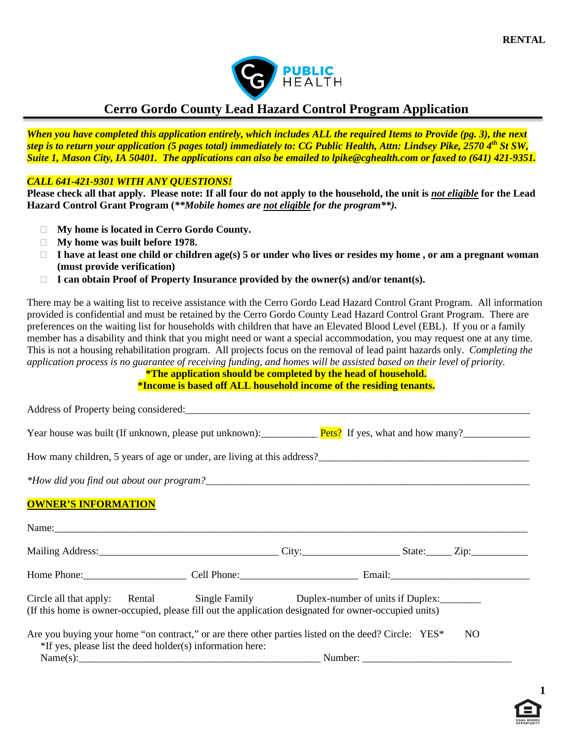

# **Cerro Gordo County Lead Hazard Control Program Application**

*When you have completed this application entirely, which includes ALL the required Items to Provide (pg. 3), the next step is to return your application (5 pages total) immediately to: CG Public Health, Attn: Lindsey Pike, 2570 4th St SW, Suite 1, Mason City, IA 50401. The applications can also be emailed to lpike@cghealth.com or faxed to (641) 421-9351.*

# *CALL 641-421-9301 WITH ANY QUESTIONS!*

**Please check all that apply. Please note: If all four do not apply to the household, the unit is** *not eligible* **for the Lead Hazard Control Grant Program (***\*\*Mobile homes are not eligible for the program\*\*).*

- **My home is located in Cerro Gordo County.**
- **My home was built before 1978.**
- **I have at least one child or children age(s) 5 or under who lives or resides my home , or am a pregnant woman (must provide verification)**
- **I can obtain Proof of Property Insurance provided by the owner(s) and/or tenant(s).**

There may be a waiting list to receive assistance with the Cerro Gordo Lead Hazard Control Grant Program. All information provided is confidential and must be retained by the Cerro Gordo County Lead Hazard Control Grant Program. There are preferences on the waiting list for households with children that have an Elevated Blood Level (EBL). If you or a family member has a disability and think that you might need or want a special accommodation, you may request one at any time. This is not a housing rehabilitation program. All projects focus on the removal of lead paint hazards only. *Completing the application process is no guarantee of receiving funding, and homes will be assisted based on their level of priority.*

# **\*The application should be completed by the head of household.**

# **\*Income is based off ALL household income of the residing tenants.**

| Year house was built (If unknown, please put unknown): $Pets?$ If yes, what and how many?                                                                                                                                             |  |                                                                                                                                                                                                                                                                                                                              |  |  |  |  |
|---------------------------------------------------------------------------------------------------------------------------------------------------------------------------------------------------------------------------------------|--|------------------------------------------------------------------------------------------------------------------------------------------------------------------------------------------------------------------------------------------------------------------------------------------------------------------------------|--|--|--|--|
| How many children, 5 years of age or under, are living at this address?<br><u>Letting</u> and the same control of the same control of the same control of the same control of the same control of the same control of the same contro |  |                                                                                                                                                                                                                                                                                                                              |  |  |  |  |
|                                                                                                                                                                                                                                       |  |                                                                                                                                                                                                                                                                                                                              |  |  |  |  |
| <b>OWNER'S INFORMATION</b>                                                                                                                                                                                                            |  |                                                                                                                                                                                                                                                                                                                              |  |  |  |  |
|                                                                                                                                                                                                                                       |  |                                                                                                                                                                                                                                                                                                                              |  |  |  |  |
|                                                                                                                                                                                                                                       |  |                                                                                                                                                                                                                                                                                                                              |  |  |  |  |
|                                                                                                                                                                                                                                       |  | Home Phone: Cell Phone: Cell Phone: Email: Email:                                                                                                                                                                                                                                                                            |  |  |  |  |
| Circle all that apply: Rental Single Family Duplex-number of units if Duplex:<br>(If this home is owner-occupied, please fill out the application designated for owner-occupied units)                                                |  |                                                                                                                                                                                                                                                                                                                              |  |  |  |  |
| Are you buying your home "on contract," or are there other parties listed on the deed? Circle: YES*<br>N <sub>O</sub><br>*If yes, please list the deed holder(s) information here:                                                    |  |                                                                                                                                                                                                                                                                                                                              |  |  |  |  |
|                                                                                                                                                                                                                                       |  | $Name(s):$ $Name(s):$ $Name(s):$ $Name(s):$ $Name(s):$ $Name(s):$ $Name(s):$ $Name(s):$ $Name(s):$ $Name(s):$ $Name(s):$ $Name(s):$ $Name(s):$ $Name(s):$ $Name(s):$ $ e^s:$ $ e^s:$ $ e^s:$ $ e^s:$ $ e^s:$ $ e^s:$ $ e^s:$ $ e^s:$ $ e^s:$ $ e^s:$ $ e^s:$ $ e^s:$ $ e^s:$ $ e^s:$ $ e^s:$ $ e^s:$ $ e^s:$ $ e^s:$ $ e^s:$ |  |  |  |  |

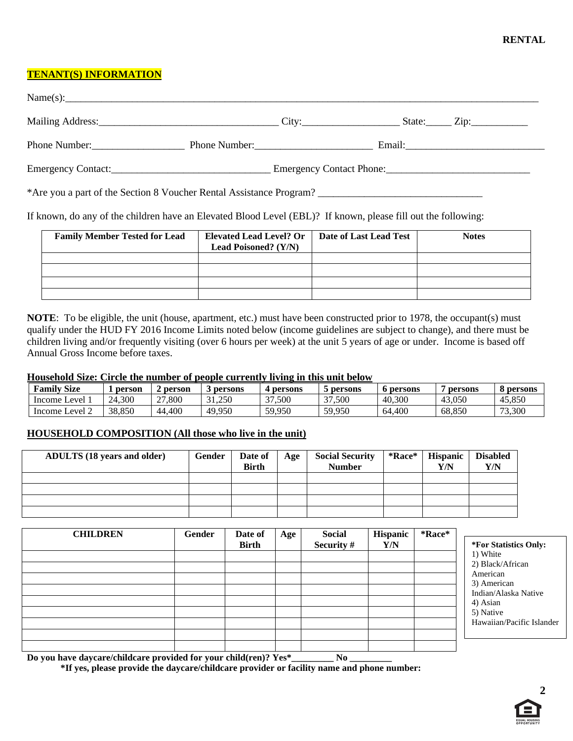## **RENTAL**

# **TENANT(S) INFORMATION**

| Mailing Address: City: City:                                        |  | $\text{State:}$ $\qquad \qquad \text{Zip:}$ |
|---------------------------------------------------------------------|--|---------------------------------------------|
| Phone Number:                                                       |  |                                             |
|                                                                     |  |                                             |
| *Are you a part of the Section 8 Voucher Rental Assistance Program? |  |                                             |

If known, do any of the children have an Elevated Blood Level (EBL)? If known, please fill out the following:

| <b>Family Member Tested for Lead</b> | Elevated Lead Level? Or   Date of Last Lead Test<br><b>Lead Poisoned?</b> (Y/N) | <b>Notes</b> |
|--------------------------------------|---------------------------------------------------------------------------------|--------------|
|                                      |                                                                                 |              |
|                                      |                                                                                 |              |
|                                      |                                                                                 |              |
|                                      |                                                                                 |              |

**NOTE**: To be eligible, the unit (house, apartment, etc.) must have been constructed prior to 1978, the occupant(s) must qualify under the HUD FY 2016 Income Limits noted below (income guidelines are subject to change), and there must be children living and/or frequently visiting (over 6 hours per week) at the unit 5 years of age or under. Income is based off Annual Gross Income before taxes.

# **Household Size: Circle the number of people currently living in this unit below**

| <b>Family Size</b> | person | person       | persons               | persons         | persons | <b>b</b> persons | persons | persons |
|--------------------|--------|--------------|-----------------------|-----------------|---------|------------------|---------|---------|
| Income Level       | 24.300 | 27,800       | 31.250<br>$^{\sim}$ 1 | 7.500<br>$\sim$ | .500    | 40,300           | .3.050  | 45,850  |
| Income Level 2     | 38,850 | .400<br>-44. | 49,950                | 59,950          | 59,950  | 64,400           | 68,850  | 73,300  |

## **HOUSEHOLD COMPOSITION (All those who live in the unit)**

| <b>ADULTS</b> (18 years and older) | Gender | Date of<br><b>Birth</b> | Age | <b>Social Security</b><br><b>Number</b> | $*$ Race $*$   Hispanic<br>Y/N | <b>Disabled</b><br>Y/N |
|------------------------------------|--------|-------------------------|-----|-----------------------------------------|--------------------------------|------------------------|
|                                    |        |                         |     |                                         |                                |                        |
|                                    |        |                         |     |                                         |                                |                        |
|                                    |        |                         |     |                                         |                                |                        |
|                                    |        |                         |     |                                         |                                |                        |

| <b>CHILDREN</b> | Gender | Date of      | Age | <b>Social</b> | Hispanic | *Race* |                           |
|-----------------|--------|--------------|-----|---------------|----------|--------|---------------------------|
|                 |        | <b>Birth</b> |     | Security #    | Y/N      |        | *For Statistics Only:     |
|                 |        |              |     |               |          |        | 1) White                  |
|                 |        |              |     |               |          |        | 2) Black/African          |
|                 |        |              |     |               |          |        | American                  |
|                 |        |              |     |               |          |        | 3) American               |
|                 |        |              |     |               |          |        | Indian/Alaska Native      |
|                 |        |              |     |               |          |        | 4) Asian                  |
|                 |        |              |     |               |          |        | 5) Native                 |
|                 |        |              |     |               |          |        | Hawaiian/Pacific Islander |
|                 |        |              |     |               |          |        |                           |
|                 |        |              |     |               |          |        |                           |

**Do you have daycare/childcare provided for your child(ren)? Yes\*\_\_\_\_\_\_\_\_\_ No \_\_\_\_\_\_\_\_\_**

**\*If yes, please provide the daycare/childcare provider or facility name and phone number:**

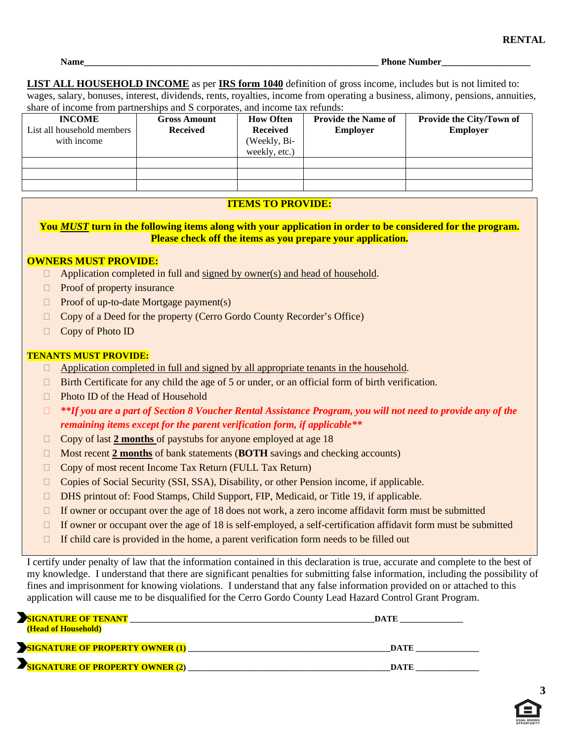Name **Number** 

**LIST ALL HOUSEHOLD INCOME** as per **IRS form 1040** definition of gross income, includes but is not limited to: wages, salary, bonuses, interest, dividends, rents, royalties, income from operating a business, alimony, pensions, annuities, share of income from partnerships and S corporates, and income tax refunds:

| <b>INCOME</b><br>List all household members<br>with income | <b>Gross Amount</b><br><b>Received</b> | <b>How Often</b><br><b>Received</b><br>(Weekly, Bi-<br>weekly, etc.) | <b>Provide the Name of</b><br><b>Employer</b> | <b>Provide the City/Town of</b><br><b>Employer</b> |
|------------------------------------------------------------|----------------------------------------|----------------------------------------------------------------------|-----------------------------------------------|----------------------------------------------------|
|                                                            |                                        |                                                                      |                                               |                                                    |
|                                                            |                                        |                                                                      |                                               |                                                    |

# **ITEMS TO PROVIDE:**

**You** *MUST* **turn in the following items along with your application in order to be considered for the program. Please check off the items as you prepare your application.**

## **OWNERS MUST PROVIDE:**

- $\Box$  Application completed in full and signed by owner(s) and head of household.
- $\Box$  Proof of property insurance
- $\Box$  Proof of up-to-date Mortgage payment(s)
- □ Copy of a Deed for the property (Cerro Gordo County Recorder's Office)
- □ Copy of Photo ID

## **TENANTS MUST PROVIDE:**

- $\Box$  Application completed in full and signed by all appropriate tenants in the household.
- $\Box$  Birth Certificate for any child the age of 5 or under, or an official form of birth verification.
- □ Photo ID of the Head of Household
- *\*\*If you are a part of Section 8 Voucher Rental Assistance Program, you will not need to provide any of the remaining items except for the parent verification form, if applicable\*\**
- Copy of last **2 months** of paystubs for anyone employed at age 18
- Most recent **2 months** of bank statements (**BOTH** savings and checking accounts)
- $\Box$  Copy of most recent Income Tax Return (FULL Tax Return)
- $\Box$  Copies of Social Security (SSI, SSA), Disability, or other Pension income, if applicable.
- $\Box$  DHS printout of: Food Stamps, Child Support, FIP, Medicaid, or Title 19, if applicable.
- If owner or occupant over the age of 18 does not work, a zero income affidavit form must be submitted
- If owner or occupant over the age of 18 is self-employed, a self-certification affidavit form must be submitted
- $\Box$  If child care is provided in the home, a parent verification form needs to be filled out

I certify under penalty of law that the information contained in this declaration is true, accurate and complete to the best of my knowledge. I understand that there are significant penalties for submitting false information, including the possibility of fines and imprisonment for knowing violations. I understand that any false information provided on or attached to this application will cause me to be disqualified for the Cerro Gordo County Lead Hazard Control Grant Program.

| SIGNATURE OF TENANT<br><b>(Head of Household)</b> | <b>DATE</b> |
|---------------------------------------------------|-------------|
| <b>SIGNATURE OF PROPERTY OWNER (1)</b>            | DATE        |
| SIGNATURE OF PROPERTY OWNER (2)                   | DATE        |

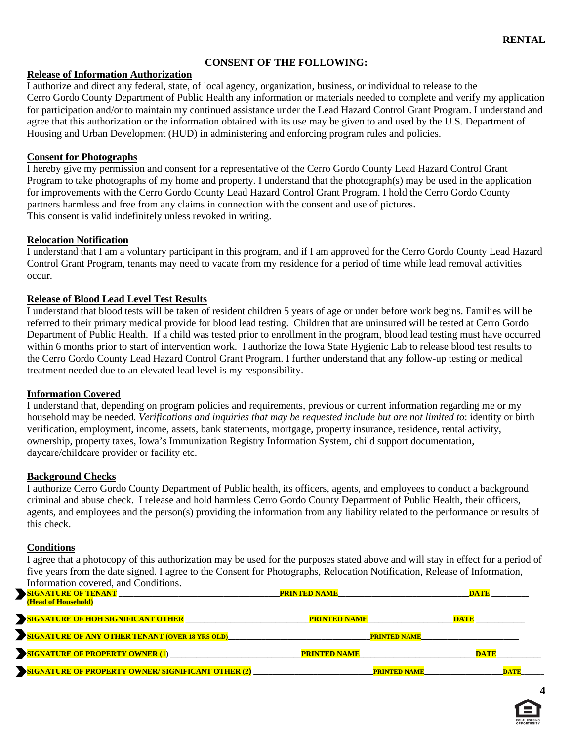# **CONSENT OF THE FOLLOWING:**

# **Release of Information Authorization**

I authorize and direct any federal, state, of local agency, organization, business, or individual to release to the Cerro Gordo County Department of Public Health any information or materials needed to complete and verify my application for participation and/or to maintain my continued assistance under the Lead Hazard Control Grant Program. I understand and agree that this authorization or the information obtained with its use may be given to and used by the U.S. Department of Housing and Urban Development (HUD) in administering and enforcing program rules and policies.

## **Consent for Photographs**

I hereby give my permission and consent for a representative of the Cerro Gordo County Lead Hazard Control Grant Program to take photographs of my home and property. I understand that the photograph(s) may be used in the application for improvements with the Cerro Gordo County Lead Hazard Control Grant Program. I hold the Cerro Gordo County partners harmless and free from any claims in connection with the consent and use of pictures. This consent is valid indefinitely unless revoked in writing.

## **Relocation Notification**

I understand that I am a voluntary participant in this program, and if I am approved for the Cerro Gordo County Lead Hazard Control Grant Program, tenants may need to vacate from my residence for a period of time while lead removal activities occur.

# **Release of Blood Lead Level Test Results**

I understand that blood tests will be taken of resident children 5 years of age or under before work begins. Families will be referred to their primary medical provide for blood lead testing. Children that are uninsured will be tested at Cerro Gordo Department of Public Health. If a child was tested prior to enrollment in the program, blood lead testing must have occurred within 6 months prior to start of intervention work. I authorize the Iowa State Hygienic Lab to release blood test results to the Cerro Gordo County Lead Hazard Control Grant Program. I further understand that any follow-up testing or medical treatment needed due to an elevated lead level is my responsibility.

# **Information Covered**

I understand that, depending on program policies and requirements, previous or current information regarding me or my household may be needed. *Verifications and inquiries that may be requested include but are not limited to*: identity or birth verification, employment, income, assets, bank statements, mortgage, property insurance, residence, rental activity, ownership, property taxes, Iowa's Immunization Registry Information System, child support documentation, daycare/childcare provider or facility etc.

## **Background Checks**

I authorize Cerro Gordo County Department of Public health, its officers, agents, and employees to conduct a background criminal and abuse check. I release and hold harmless Cerro Gordo County Department of Public Health, their officers, agents, and employees and the person(s) providing the information from any liability related to the performance or results of this check.

## **Conditions**

I agree that a photocopy of this authorization may be used for the purposes stated above and will stay in effect for a period of five years from the date signed. I agree to the Consent for Photographs, Relocation Notification, Release of Information, Information covered, and Conditions.

| SIGNATURE OF TENANT                                | <b>PRINTED NAME</b> | <b>DATE</b> |
|----------------------------------------------------|---------------------|-------------|
| (Head of Household)                                |                     |             |
| SIGNATURE OF HOH SIGNIFICANT OTHER                 | <b>PRINTED NAME</b> | <b>DATE</b> |
| SIGNATURE OF ANY OTHER TENANT (OVER 18 YRS OLD)    | <b>PRINTED NAME</b> |             |
| SIGNATURE OF PROPERTY OWNER (1)                    | <b>PRINTED NAME</b> | <b>DATE</b> |
| SIGNATURE OF PROPERTY OWNER/ SIGNIFICANT OTHER (2) | <b>PRINTED NAME</b> | <b>DATE</b> |